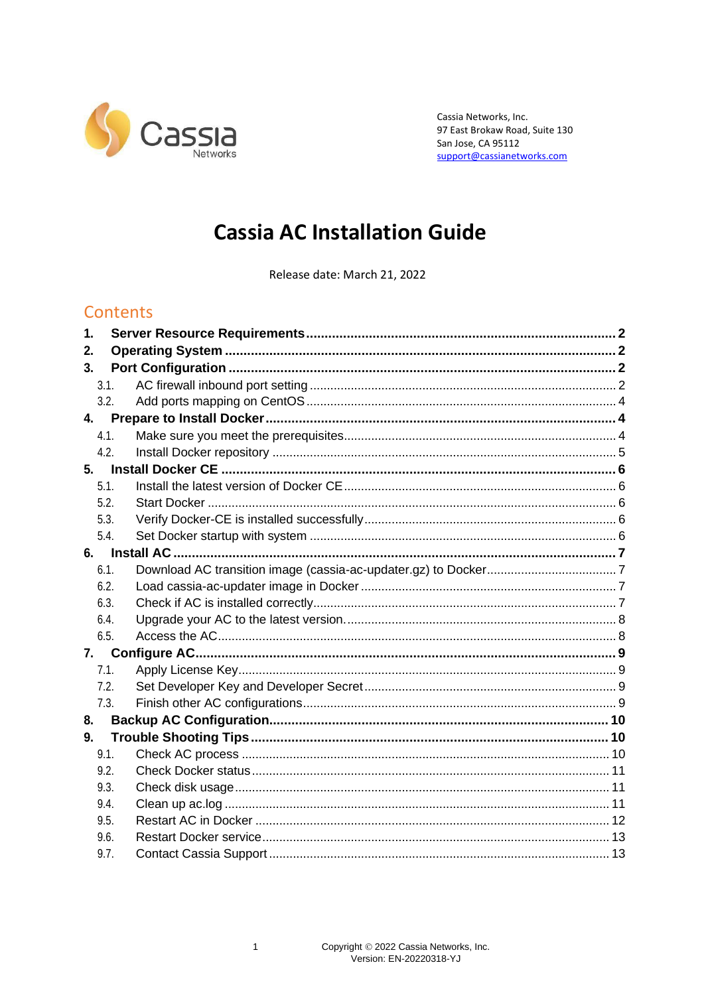

Cassia Networks, Inc. 97 East Brokaw Road, Suite 130 San Jose, CA 95112 support@cassianetworks.com

# **Cassia AC Installation Guide**

Release date: March 21, 2022

# Contents

| 1.   |      |  |
|------|------|--|
| 2.   |      |  |
| 3.   |      |  |
| 3.1. |      |  |
|      | 3.2. |  |
| 4.   |      |  |
| 4.1. |      |  |
| 4.2. |      |  |
| 5.   |      |  |
| 5.1. |      |  |
| 5.2. |      |  |
| 5.3. |      |  |
| 5.4. |      |  |
|      |      |  |
| 6.1. |      |  |
| 6.2. |      |  |
| 6.3. |      |  |
| 6.4. |      |  |
| 6.5. |      |  |
| 7.   |      |  |
| 7.1. |      |  |
| 7.2. |      |  |
| 7.3. |      |  |
| 8.   |      |  |
| 9.   |      |  |
| 9.1. |      |  |
| 9.2. |      |  |
| 9.3. |      |  |
| 9.4. |      |  |
| 9.5. |      |  |
| 9.6. |      |  |
| 9.7. |      |  |

 $\mathbf{1}$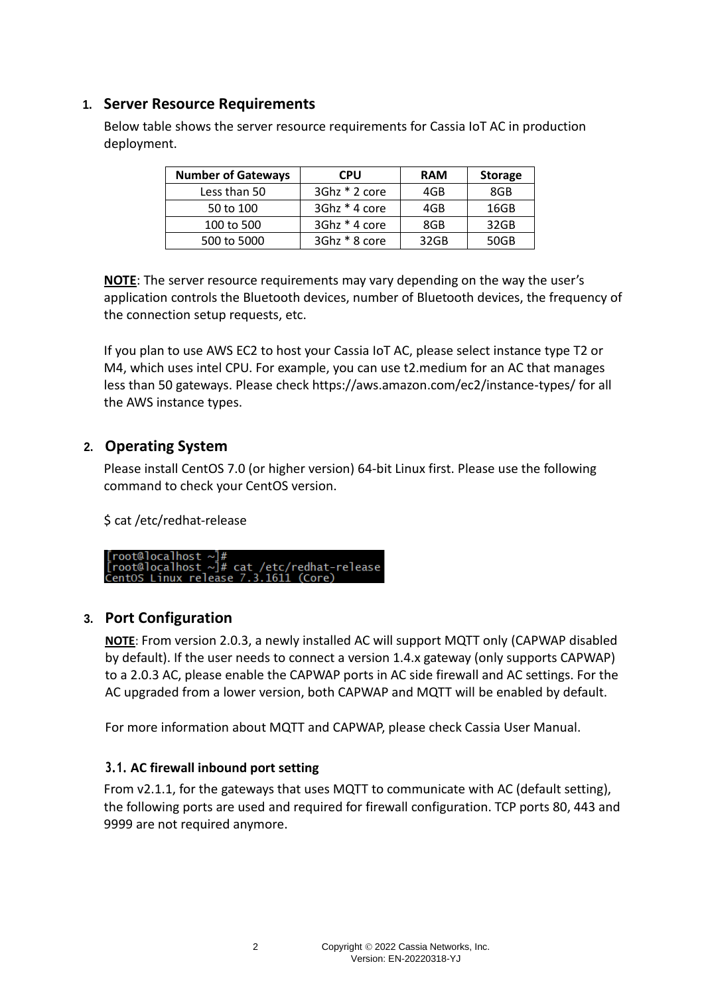## <span id="page-1-0"></span>**1. Server Resource Requirements**

Below table shows the server resource requirements for Cassia IoT AC in production deployment.

| <b>Number of Gateways</b> | <b>CPU</b>    | <b>RAM</b> | <b>Storage</b> |
|---------------------------|---------------|------------|----------------|
| Less than 50              | 3Ghz * 2 core | 4GB        | 8GB            |
| 50 to 100                 | 3Ghz * 4 core | 4GB        | 16GB           |
| 100 to 500                | 3Ghz * 4 core | 8GB        | 32GB           |
| 500 to 5000               | 3Ghz * 8 core | 32GB       | 50GB           |

**NOTE**: The server resource requirements may vary depending on the way the user's application controls the Bluetooth devices, number of Bluetooth devices, the frequency of the connection setup requests, etc.

If you plan to use AWS EC2 to host your Cassia IoT AC, please select instance type T2 or M4, which uses intel CPU. For example, you can use t2.medium for an AC that manages less than 50 gateways. Please check https://aws.amazon.com/ec2/instance-types/ for all the AWS instance types.

## <span id="page-1-1"></span>**2. Operating System**

Please install CentOS 7.0 (or higher version) 64-bit Linux first. Please use the following command to check your CentOS version.

\$ cat /etc/redhat-release



## <span id="page-1-2"></span>**3. Port Configuration**

**NOTE**: From version 2.0.3, a newly installed AC will support MQTT only (CAPWAP disabled by default). If the user needs to connect a version 1.4.x gateway (only supports CAPWAP) to a 2.0.3 AC, please enable the CAPWAP ports in AC side firewall and AC settings. For the AC upgraded from a lower version, both CAPWAP and MQTT will be enabled by default.

For more information about MQTT and CAPWAP, please check Cassia User Manual.

#### <span id="page-1-3"></span>**3.1. AC firewall inbound port setting**

From v2.1.1, for the gateways that uses MQTT to communicate with AC (default setting), the following ports are used and required for firewall configuration. TCP ports 80, 443 and 9999 are not required anymore.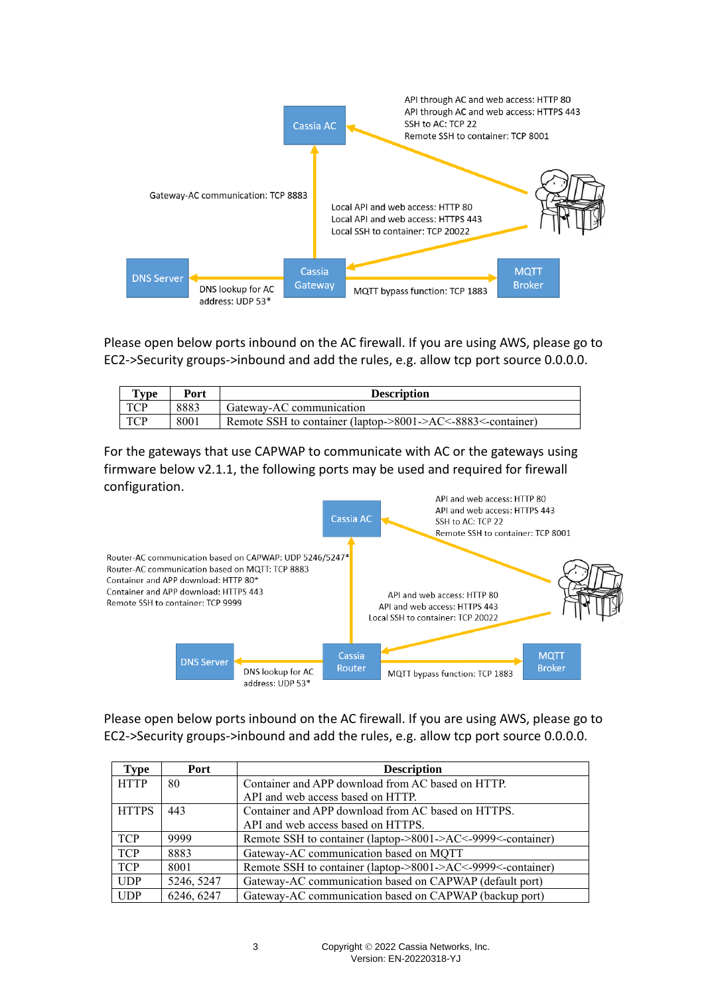

Please open below ports inbound on the AC firewall. If you are using AWS, please go to EC2->Security groups->inbound and add the rules, e.g. allow tcp port source 0.0.0.0.

| $T$ vpe | Port | <b>Description</b>                                          |
|---------|------|-------------------------------------------------------------|
| TCP     | 8883 | Gateway-AC communication                                    |
| TCP     | 8001 | Remote SSH to container (laptop->8001->AC<-8883<-container) |

For the gateways that use CAPWAP to communicate with AC or the gateways using firmware below v2.1.1, the following ports may be used and required for firewall configuration.



Please open below ports inbound on the AC firewall. If you are using AWS, please go to EC2->Security groups->inbound and add the rules, e.g. allow tcp port source 0.0.0.0.

| Type         | Port       | <b>Description</b>                                          |
|--------------|------------|-------------------------------------------------------------|
| <b>HTTP</b>  | 80         | Container and APP download from AC based on HTTP.           |
|              |            | API and web access based on HTTP.                           |
| <b>HTTPS</b> | 443        | Container and APP download from AC based on HTTPS.          |
|              |            | API and web access based on HTTPS.                          |
| <b>TCP</b>   | 9999       | Remote SSH to container (laptop->8001->AC<-9999<-container) |
| <b>TCP</b>   | 8883       | Gateway-AC communication based on MQTT                      |
| <b>TCP</b>   | 8001       | Remote SSH to container (laptop->8001->AC<-9999<-container) |
| <b>UDP</b>   | 5246, 5247 | Gateway-AC communication based on CAPWAP (default port)     |
| <b>UDP</b>   | 6246, 6247 | Gateway-AC communication based on CAPWAP (backup port)      |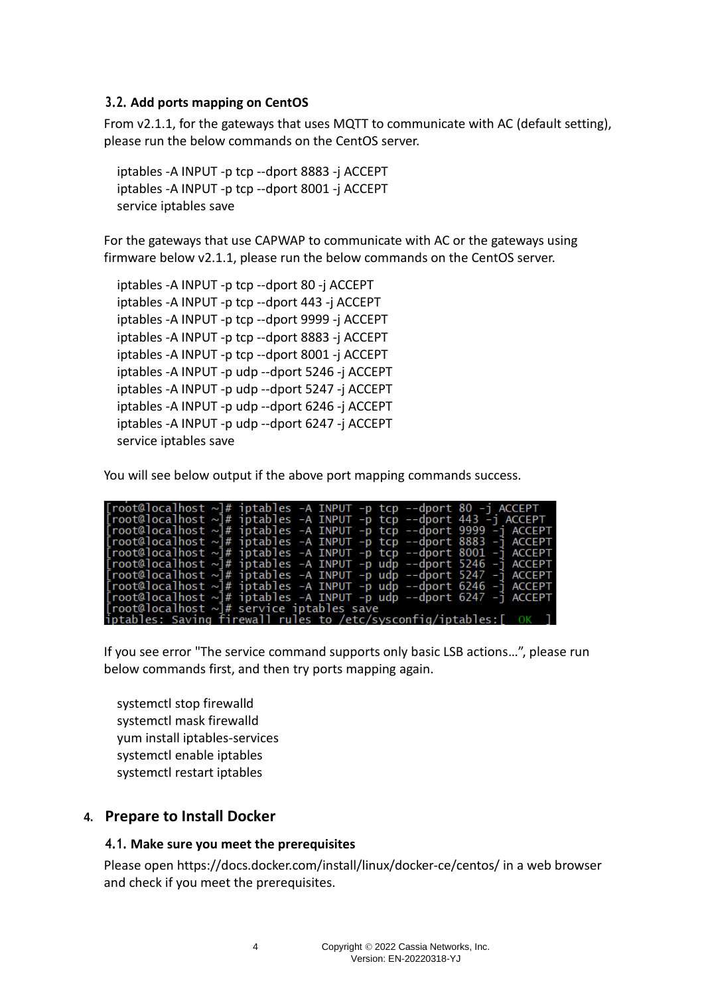#### <span id="page-3-0"></span>**3.2. Add ports mapping on CentOS**

From v2.1.1, for the gateways that uses MQTT to communicate with AC (default setting), please run the below commands on the CentOS server.

iptables -A INPUT -p tcp --dport 8883 -j ACCEPT iptables -A INPUT -p tcp --dport 8001 -j ACCEPT service iptables save

For the gateways that use CAPWAP to communicate with AC or the gateways using firmware below v2.1.1, please run the below commands on the CentOS server.

iptables -A INPUT -p tcp --dport 80 -j ACCEPT iptables -A INPUT -p tcp --dport 443 -j ACCEPT iptables -A INPUT -p tcp --dport 9999 -j ACCEPT iptables -A INPUT -p tcp --dport 8883 -j ACCEPT iptables -A INPUT -p tcp --dport 8001 -j ACCEPT iptables -A INPUT -p udp --dport 5246 -j ACCEPT iptables -A INPUT -p udp --dport 5247 -j ACCEPT iptables -A INPUT -p udp --dport 6246 -j ACCEPT iptables -A INPUT -p udp --dport 6247 -j ACCEPT service iptables save

You will see below output if the above port mapping commands success.

| $[root@localhost \sim]$ # iptables -A INPUT -p tcp --dport 80 -j ACCEPT                                                                 |  |  |  |
|-----------------------------------------------------------------------------------------------------------------------------------------|--|--|--|
| $[root@localhost \sim]$ # iptables -A INPUT -p tcp --dport 443 -j ACCEPT                                                                |  |  |  |
| $\lceil \text{root@localhost} \sim \rceil # \text{ iptables -A INPUT -p top --dport 9999 -j ACCEPT }$                                   |  |  |  |
| $\lceil \text{root@localhost} \sim \rceil$ # iptables -A INPUT -p tcp --dport 8883 -j ACCEPT                                            |  |  |  |
| $\lceil \text{root@localhost} \sim \rceil # \text{ iptables -A } \text{INDEX -p } \text{top --dport } 8001 -j \text{ ACCEPT }$          |  |  |  |
| $\lceil \text{root@localhost} \sim \rceil # \text{ iptables -A } \text{INDEX -p } \text{udp } -- \text{dport } 5246 -j \text{ ACCEPT }$ |  |  |  |
| $[root@localhost \sim]$ # iptables -A INPUT -p udp --dport 5247 -j ACCEPT                                                               |  |  |  |
| $[root@localhost \sim]$ # iptables -A INPUT -p udp --dport 6246 -j ACCEPT                                                               |  |  |  |
| $\lceil \text{root@localhost} \sim \rceil$ # iptables -A INPUT -p udp --dport 6247 -j ACCEPT                                            |  |  |  |
| [root@localhost $\sim$ ]# service iptables save                                                                                         |  |  |  |
| $\frac{1}{1}$ ptables: Saving firewall rules to /etc/sysconfig/iptables: $[$ OK $]$                                                     |  |  |  |

If you see error "The service command supports only basic LSB actions…", please run below commands first, and then try ports mapping again.

systemctl stop firewalld systemctl mask firewalld yum install iptables-services systemctl enable iptables systemctl restart iptables

#### <span id="page-3-2"></span><span id="page-3-1"></span>**4. Prepare to Install Docker**

#### **4.1. Make sure you meet the prerequisites**

Please open<https://docs.docker.com/install/linux/docker-ce/centos/> in a web browser and check if you meet the prerequisites.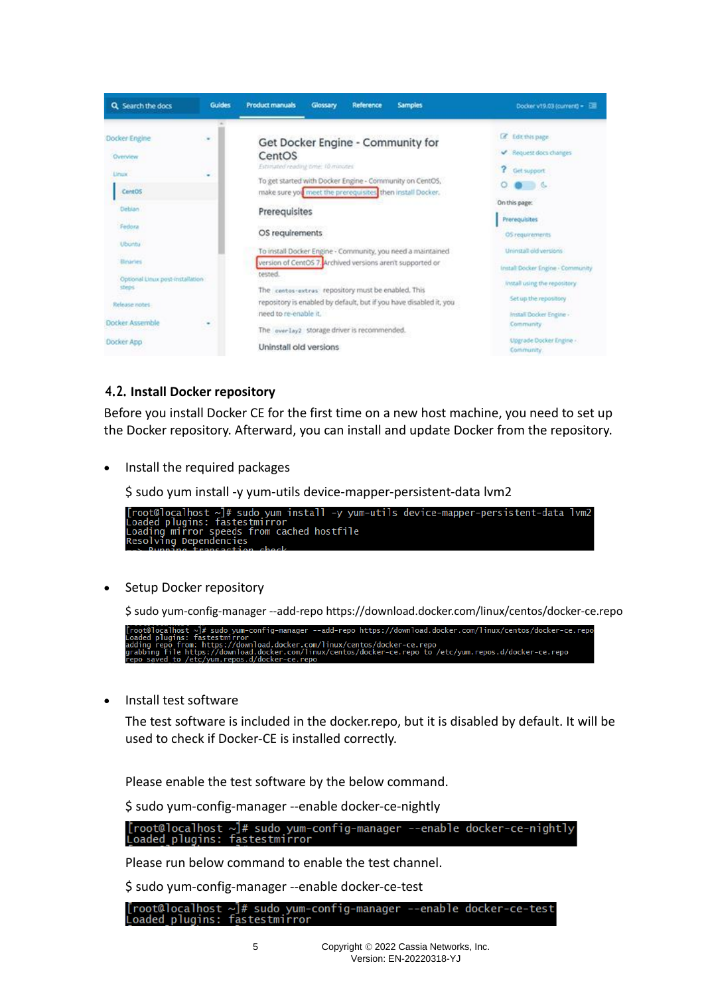

#### <span id="page-4-0"></span>**4.2. Install Docker repository**

Before you install Docker CE for the first time on a new host machine, you need to set up the Docker repository. Afterward, you can install and update Docker from the repository.

• Install the required packages



Setup Docker repository

\$ sudo yum-config-manager --add-repo <https://download.docker.com/linux/centos/docker-ce.repo>

• Install test software

The test software is included in the docker.repo, but it is disabled by default. It will be used to check if Docker-CE is installed correctly.

Please enable the test software by the below command.

\$ sudo yum-config-manager --enable docker-ce-nightly

[root@localhost ~]# sudo yum-config-manager --enable docker-ce-nightly<br>Loaded plugins: fastestmirror

Please run below command to enable the test channel.

\$ sudo yum-config-manager --enable docker-ce-test

[root@localhost ~]# sudo yum-config-manager --enable docker-ce-test<br>Loaded plugins: fastestmirror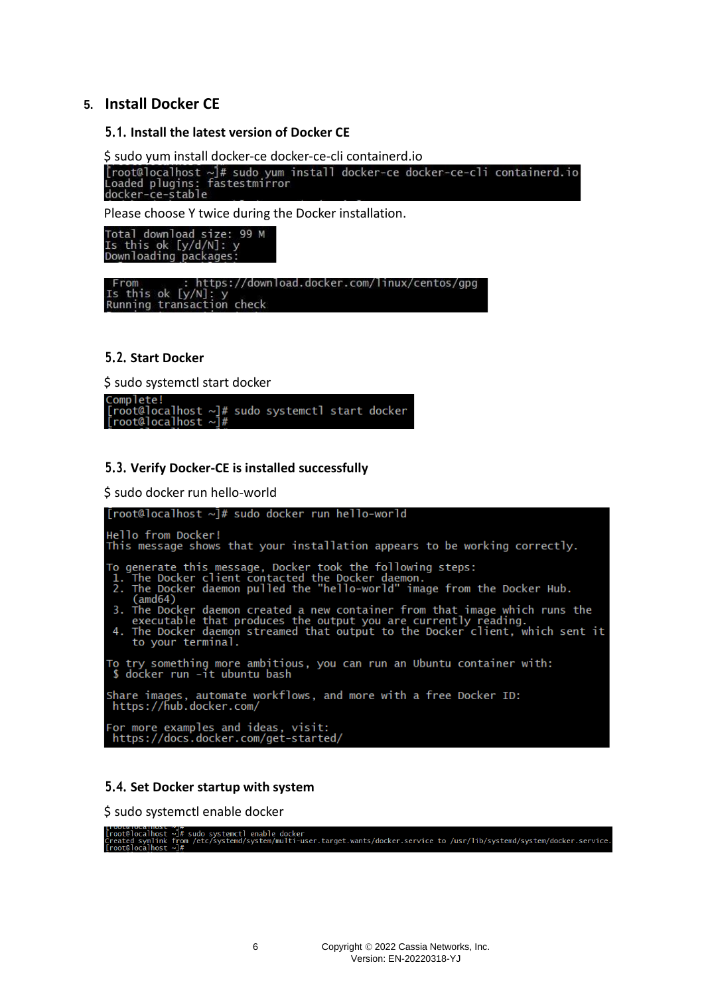#### <span id="page-5-1"></span><span id="page-5-0"></span>**5. Install Docker CE**

#### **5.1. Install the latest version of Docker CE**

\$ sudo yum install docker-ce docker-ce-cli containerd.io<br>[root@localhost ~]# sudo yum install docker-ce docker-ce-cli containerd.io<br>Loaded plugins: fastestmirror<br>docker-ce-stable

Please choose Y twice during the Docker installation.

Total download size: 99 M<br>Is this ok [y/d/N]: y<br>Downloading packages:

From : https://download.docker.com/linux/centos/gpg<br>Is this ok [y/N]: y<br>Running transaction check

#### <span id="page-5-2"></span>**5.2. Start Docker**

\$ sudo systemctl start docker

| Complete!                                             |  |  |  |
|-------------------------------------------------------|--|--|--|
| $[root@localhost \sim]$ # sudo systemctl start docker |  |  |  |
| [root@localhost $\sim$ ]#                             |  |  |  |

#### <span id="page-5-3"></span>**5.3. Verify Docker-CE is installed successfully**

\$ sudo docker run hello-world



#### <span id="page-5-4"></span>**5.4. Set Docker startup with system**

\$ sudo systemctl enable docker

twipcainost ~」#<br>t@localhost ~】# sudo systemctl enable docker<br>t@localhost ~】# sudo systemd/system/multi-user.target.wants/docker.service to /usr/lib/systemd/system/docker.service.<br>t@localhost ~]#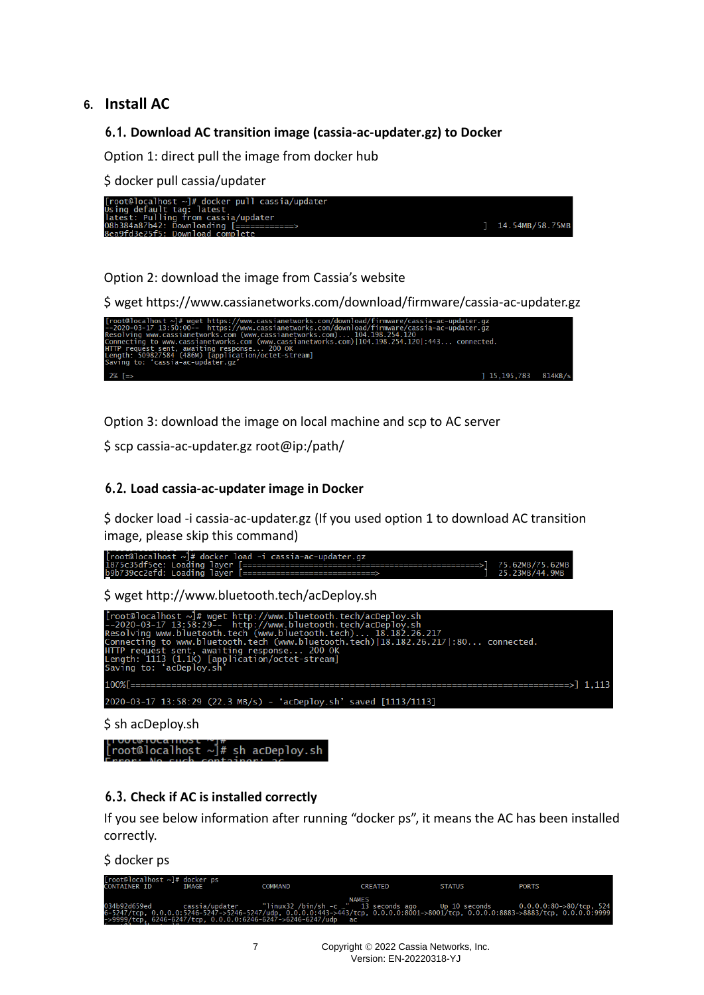### <span id="page-6-1"></span><span id="page-6-0"></span>**6. Install AC**

#### **6.1. Download AC transition image (cassia-ac-updater.gz) to Docker**

Option 1: direct pull the image from docker hub

\$ docker pull cassia/updater



Option 2: download the image from Cassia's website



Option 3: download the image on local machine and scp to AC server

\$ scp cassia-ac-updater.gz root@ip:/path/

#### <span id="page-6-2"></span>**6.2. Load cassia-ac-updater image in Docker**

\$ docker load -i cassia-ac-updater.gz (If you used option 1 to download AC transition image, please skip this command)

| $[root@localhost \sim ]$ # docker load -i cassia-ac-updater.gz |                                          |
|----------------------------------------------------------------|------------------------------------------|
|                                                                |                                          |
| b9b739cc2efd: Loading laver [==============================    | $1 \quad 25.23 \text{MB}/44.9 \text{MB}$ |

\$ wget<http://www.bluetooth.tech/acDeploy.sh>

| [root@localhost ~]# wget http://www.bluetooth.tech/acDeploy.sh<br>--2020-03-17 13:58:29-- http://www.bluetooth.tech/acDeploy.sh<br>Resolving www.bluetooth.tech (www.bluetooth.tech) 18.182.26.217<br>Connecting to www.bluetooth.tech (www.bluetooth.tech) 18.182.26.217 :80 connected.<br>HTTP request sent, awaiting response 200 OK<br>Length: 1113 (1.1k) [application/octet-stream]<br>Saving to: 'acDeploy.sh' |
|-----------------------------------------------------------------------------------------------------------------------------------------------------------------------------------------------------------------------------------------------------------------------------------------------------------------------------------------------------------------------------------------------------------------------|
|                                                                                                                                                                                                                                                                                                                                                                                                                       |
| $2020-03-17$ 13:58:29 (22.3 MB/s) - 'acDeploy.sh' saved [1113/1113]                                                                                                                                                                                                                                                                                                                                                   |

\$ sh acDeploy.sh

[root@localhost  $\sim$ ]# sh acDeploy.sh

#### <span id="page-6-3"></span>**6.3. Check if AC is installed correctly**

If you see below information after running "docker ps", it means the AC has been installed correctly.

\$ docker ps

| $[root@localhost ~\neg #$ docker ps<br>CONTATNER TD | <b>TMAGE</b> | <b>COMMAND</b>                                                                                                                                                                                                     | <b>CREATED</b> | <b>STATUS</b> | <b>PORTS</b> |
|-----------------------------------------------------|--------------|--------------------------------------------------------------------------------------------------------------------------------------------------------------------------------------------------------------------|----------------|---------------|--------------|
|                                                     |              | <b>NAMES</b><br>6-5247/tcp, 0.0.0.0:5246-5247->5246-5247/udp, 0.0.0.0:443->443/tcp, 0.0.0.0:8001->8001/tcp, 0.0.0.0:8883->8883/tcp, 0.0.0.0:9999<br>->9999/tcp, 6246-6247/tcp, 0.0.0.0:6246-6247->6246-6247/udp ac |                |               |              |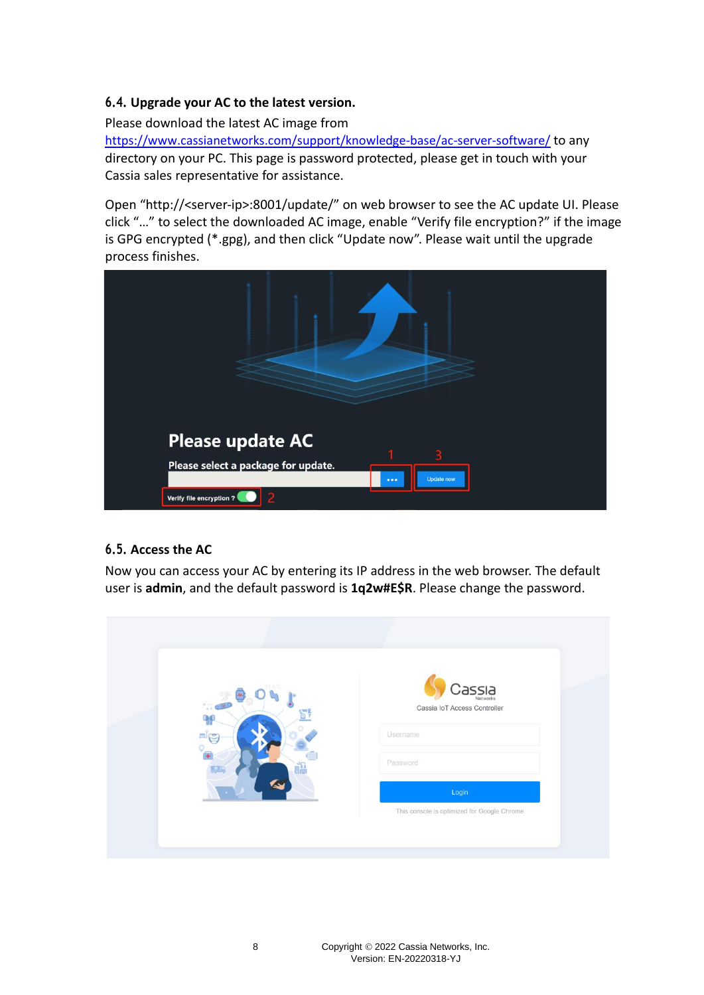### <span id="page-7-0"></span>**6.4. Upgrade your AC to the latest version.**

Please download the latest AC image from

<https://www.cassianetworks.com/support/knowledge-base/ac-server-software/> to any directory on your PC. This page is password protected, please get in touch with your Cassia sales representative for assistance.

Open "http://<server-ip>:8001/update/" on web browser to see the AC update UI. Please click "…" to select the downloaded AC image, enable "Verify file encryption?" if the image is GPG encrypted (\*.gpg), and then click "Update now". Please wait until the upgrade process finishes.



## <span id="page-7-1"></span>**6.5. Access the AC**

Now you can access your AC by entering its IP address in the web browser. The default user is **admin**, and the default password is **1q2w#E\$R**. Please change the password.

| 1000<br>$\blacksquare$ | $\mathsf{Cas}\hspace{-0.05cm}S\hspace{-0.05cm}I\hspace{-0.05cm}A$<br>Cassia IoT Access Controller<br>Usemame |
|------------------------|--------------------------------------------------------------------------------------------------------------|
| 譜                      | Password                                                                                                     |
|                        | Login                                                                                                        |
|                        | This console is optimized for Google Chrome                                                                  |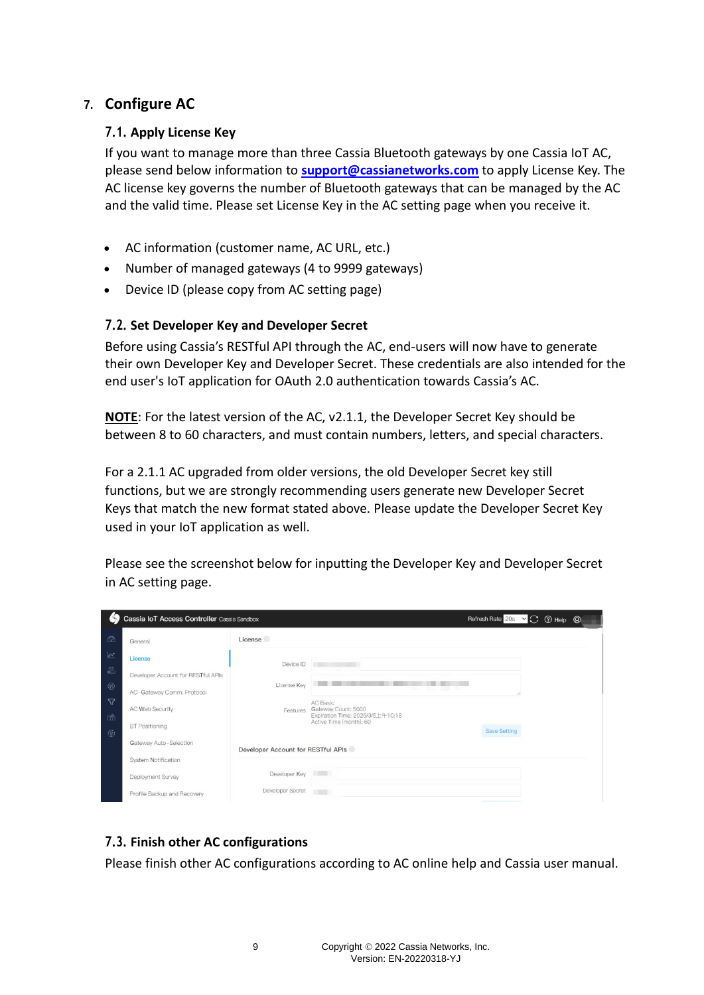## <span id="page-8-1"></span><span id="page-8-0"></span>**7. Configure AC**

#### **7.1. Apply License Key**

If you want to manage more than three Cassia Bluetooth gateways by one Cassia IoT AC, please send below information to **[support@cassianetworks.com](mailto:support@cassianetworks.com)** to apply License Key. The AC license key governs the number of Bluetooth gateways that can be managed by the AC and the valid time. Please set License Key in the AC setting page when you receive it.

- AC information (customer name, AC URL, etc.)
- Number of managed gateways (4 to 9999 gateways)
- Device ID (please copy from AC setting page)

#### <span id="page-8-2"></span>**7.2. Set Developer Key and Developer Secret**

Before using Cassia's RESTful API through the AC, end-users will now have to generate their own Developer Key and Developer Secret. These credentials are also intended for the end user's IoT application for OAuth 2.0 authentication towards Cassia's AC.

**NOTE**: For the latest version of the AC, v2.1.1, the Developer Secret Key should be between 8 to 60 characters, and must contain numbers, letters, and special characters.

For a 2.1.1 AC upgraded from older versions, the old Developer Secret key still functions, but we are strongly recommending users generate new Developer Secret Keys that match the new format stated above. Please update the Developer Secret Key used in your IoT application as well.

Please see the screenshot below for inputting the Developer Key and Developer Secret in AC setting page.

|                  | Cassia IoT Access Controller Cassia Sandbox |                                    |                                                                     | Refresh Rate 20s v C 7 Help <sup><sup>2</sup></sup> |  |  |
|------------------|---------------------------------------------|------------------------------------|---------------------------------------------------------------------|-----------------------------------------------------|--|--|
| $^{\circ}$       | General                                     | License                            |                                                                     |                                                     |  |  |
| $\mathbb{R}^2$   | License                                     | Device ID                          |                                                                     |                                                     |  |  |
| $\widehat{m}$    | Developer Account for RESTful APIs          |                                    |                                                                     |                                                     |  |  |
| $^{\circledR}$   | AC-Gateway Comm. Protocol                   | License Key                        |                                                                     |                                                     |  |  |
| 72               | AC Web Security                             | Features                           | AC Basic<br>Gateway Count: 5000<br>Expiration Time: 2026/3/5上午10:18 |                                                     |  |  |
| □<br>$\circledR$ | <b>BT</b> Positioning                       |                                    | Active Time (month): 60                                             | <b>Save Setting</b>                                 |  |  |
|                  | Gateway Auto-Selection                      | Developer Account for RESTful APIs |                                                                     |                                                     |  |  |
|                  | <b>System Notification</b>                  |                                    |                                                                     |                                                     |  |  |
|                  | Deployment Survey                           | Developer Key                      | <b>RESERVE</b>                                                      |                                                     |  |  |
|                  | Profile Backup and Recovery                 | Developer Secret                   | <b>The Co</b>                                                       |                                                     |  |  |

#### <span id="page-8-3"></span>**7.3. Finish other AC configurations**

Please finish other AC configurations according to AC online help and Cassia user manual.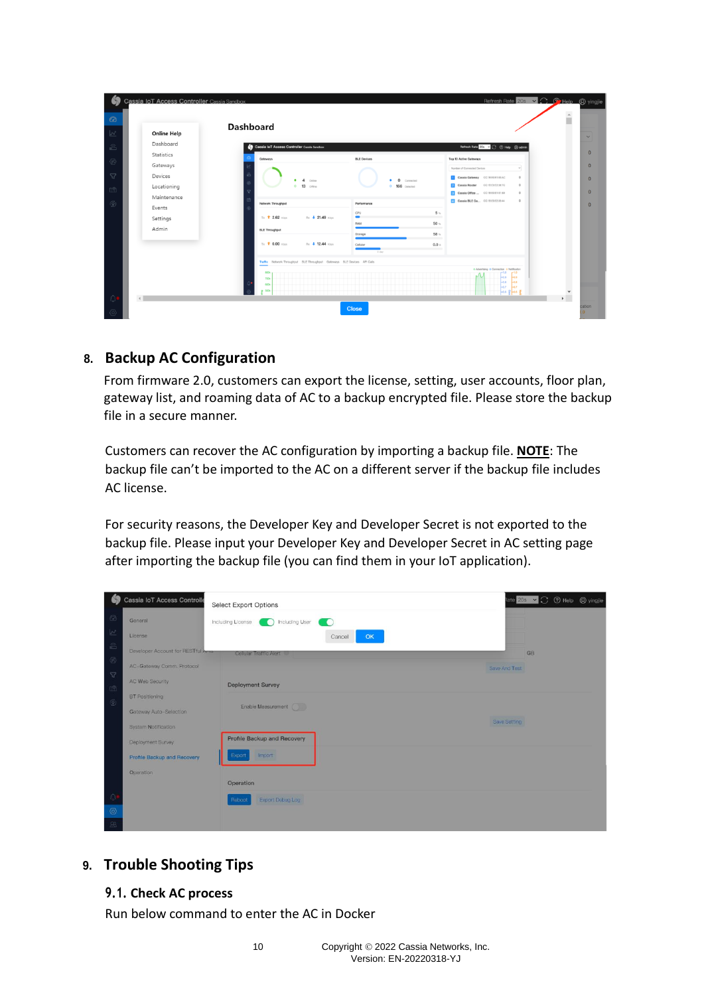| $\mathbb{R}^n$             | Cassia IoT Access Controller Cassia Sandbox |                                                                          |                                          | Refresh Rate 20s v C C Help <sup>2</sup> yingjie                                                                                             | $\overline{a}$     |
|----------------------------|---------------------------------------------|--------------------------------------------------------------------------|------------------------------------------|----------------------------------------------------------------------------------------------------------------------------------------------|--------------------|
| $\odot$<br>$\sqrt{\omega}$ | <b>Online Help</b>                          | <b>Dashboard</b>                                                         |                                          |                                                                                                                                              | $\checkmark$       |
| $\widehat{\mathbb{B}}$     | Dashboard                                   | Cassia IoT Access Controller Cassia Sandbox                              |                                          | Refresh Rate 20s v C 19 Help @ admin                                                                                                         |                    |
|                            | Statistics                                  | Gateways                                                                 | <b>BLE Devices</b>                       | Top 10 Active Gateways                                                                                                                       | $\mathbf{0}$       |
| $\circledS$                | Gateways                                    |                                                                          |                                          | Number of Connected Devices<br>$\sim$                                                                                                        | $\theta$           |
| $\triangledown$            | Devices                                     | $\overline{A}$<br>Online                                                 | <b>Q</b> Connected<br>$\bullet$          | Cassis Gateway CC/IEE01E100AC<br>$^{\circ}$                                                                                                  | $\mathbf{0}$       |
| $\Box$                     | Locationing                                 | $0$ 13<br>Offine                                                         | O 166 Detected                           | Cassia Router CC:18 E0 E2:38:7C<br>$\circ$<br>Cassia Office  CC: 850 61 61 63<br>$\circ$                                                     | $\Omega$           |
|                            | Maintenance                                 | Network Throughput                                                       |                                          | <b>Cassia BLE Ga</b> CC/IBE01225144<br>$\circ$                                                                                               |                    |
| $\mathcal{G}$              | Events                                      |                                                                          | Performance<br>CPU<br>$5 -$              |                                                                                                                                              | $\Omega$           |
|                            | Settings                                    | Tx <sup>+</sup> 2.62 Kbox<br>Rx 21.49 Kbps                               | -<br>$50 -$<br>RAM                       |                                                                                                                                              |                    |
|                            | Admin                                       | <b>BLE Throughput</b>                                                    | 58%<br>Storage                           |                                                                                                                                              |                    |
|                            |                                             | Tx <sup>+</sup> 0.00 Khos<br>Rx 4 12.44 Kbss                             | $0.0$ $\scriptstyle{\wedge}$<br>Cellular |                                                                                                                                              |                    |
|                            |                                             |                                                                          | $9$ clay                                 |                                                                                                                                              |                    |
|                            |                                             | Traffic Network Throughput BLE Throughput Gateways BLE Devices API Calls |                                          |                                                                                                                                              |                    |
|                            |                                             | <b>NOCK</b><br>7004<br>500k<br>son                                       |                                          | o Advertising @ Connection @ Notification<br>$-1.0$<br>$-as$<br><b>Los</b><br><b>Las</b><br>Lол<br><b>Laz</b><br>Loz.<br>$-$ an $8$ $-$ an B |                    |
|                            | $\left  \cdot \right $                      |                                                                          |                                          |                                                                                                                                              |                    |
| 6                          |                                             |                                                                          | <b>Close</b>                             |                                                                                                                                              | cation<br>$\Omega$ |

## <span id="page-9-0"></span>**8. Backup AC Configuration**

From firmware 2.0, customers can export the license, setting, user accounts, floor plan, gateway list, and roaming data of AC to a backup encrypted file. Please store the backup file in a secure manner.

Customers can recover the AC configuration by importing a backup file. **NOTE**: The backup file can't be imported to the AC on a different server if the backup file includes AC license.

For security reasons, the Developer Key and Developer Secret is not exported to the backup file. Please input your Developer Key and Developer Secret in AC setting page after importing the backup file (you can find them in your IoT application).

|                           | Cassia IoT Access Controlle        | <b>Select Export Options</b>                                  | Rate 20s v C 7 Help @ yingjie |  |
|---------------------------|------------------------------------|---------------------------------------------------------------|-------------------------------|--|
| $\circledcirc$            | General                            | <b>Contract Including User</b><br>Including License<br>$\Box$ |                               |  |
| $\overline{\mathbb{R}^2}$ | License                            | OK<br>Cancel                                                  |                               |  |
| $\mathbb{S}$              | Developer Account for RESTful Arms | Cellular Traffic Alert                                        | <b>GB</b>                     |  |
| $\langle \vec{r} \rangle$ | AC-Gateway Comm. Protocol          | Save And Test                                                 |                               |  |
| $\nabla$                  | AC Web Security                    | Deployment Survey                                             |                               |  |
| 面<br>$\circledS$          | <b>BT</b> Positioning              |                                                               |                               |  |
|                           | Gateway Auto-Selection             | Enable Measurement                                            |                               |  |
|                           | <b>System Notification</b>         | Save Setting                                                  |                               |  |
|                           | Deployment Survey                  | Profile Backup and Recovery                                   |                               |  |
|                           | Profile Backup and Recovery        | <b>Import</b><br>Export                                       |                               |  |
|                           | Operation                          |                                                               |                               |  |
|                           |                                    | Operation                                                     |                               |  |
| $\bigcirc$                |                                    | Export Debug Log<br>Reboot                                    |                               |  |
| $\circledcirc$            |                                    |                                                               |                               |  |
| 8                         |                                    |                                                               |                               |  |

# <span id="page-9-2"></span><span id="page-9-1"></span>**9. Trouble Shooting Tips**

#### **9.1. Check AC process**

Run below command to enter the AC in Docker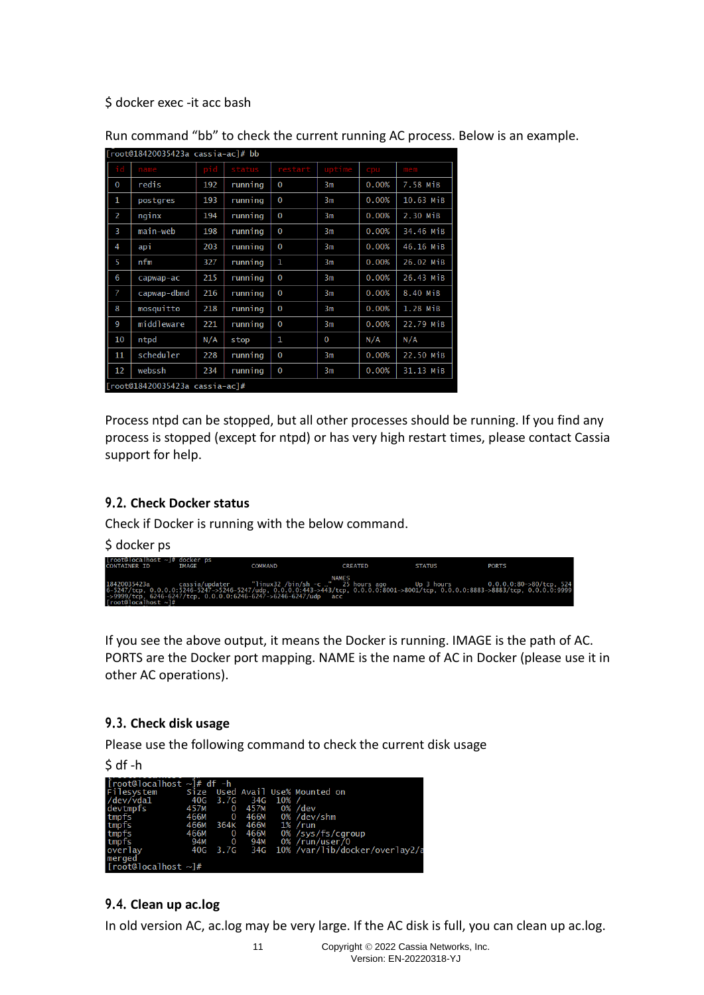\$ docker exec -it acc bash

| [root@18420035423a cassia-ac]# bb |                                |     |         |              |                |       |           |  |  |  |
|-----------------------------------|--------------------------------|-----|---------|--------------|----------------|-------|-----------|--|--|--|
|                                   | name                           | pid | tatus   | restart      | uptime         | cpu   | mem       |  |  |  |
| $\bf{0}$                          | redis                          | 192 | running | $\bf{0}$     | 3m             | 0.00% | 7.58 MiB  |  |  |  |
| 1                                 | postgres                       | 193 | running | $\bf{0}$     | 3 <sub>m</sub> | 0.00% | 10.63 MiB |  |  |  |
| 2                                 | nginx                          | 194 | running | $\bf{0}$     | 3m             | 0.00% | 2.30 MiB  |  |  |  |
| 3                                 | main-web                       | 198 | running | $\bf{0}$     | 3m             | 0.00% | 34.46 MiB |  |  |  |
| 4                                 | api                            | 203 | running | $\bf{0}$     | 3m             | 0.00% | 46.16 MiB |  |  |  |
| 5                                 | nfm                            | 327 | running | 1            | 3m             | 0.00% | 26.02 MiB |  |  |  |
| 6                                 | capwap-ac                      | 215 | running | $\Omega$     | 3m             | 0.00% | 26.43 MiB |  |  |  |
| 7                                 | capwap-dbmd                    | 216 | running | $\Omega$     | 3m             | 0.00% | 8.40 MiB  |  |  |  |
| 8                                 | mosquitto                      | 218 | running | $\Omega$     | 3m             | 0.00% | 1.28 MiB  |  |  |  |
| 9                                 | middleware                     | 221 | running | $\mathbf{0}$ | 3m             | 0.00% | 22.79 MiB |  |  |  |
| 10                                | ntpd                           | N/A | stop    | 1            | 0              | N/A   | N/A       |  |  |  |
| 11                                | scheduler                      | 228 | running | $\mathbf 0$  | 3m             | 0.00% | 22.50 MiB |  |  |  |
| 12                                | webssh                         | 234 | running | $\mathbf{0}$ | 3m             | 0.00% | 31.13 MiB |  |  |  |
|                                   | [root@18420035423a cassia-ac]# |     |         |              |                |       |           |  |  |  |

Run command "bb" to check the current running AC process. Below is an example.

Process ntpd can be stopped, but all other processes should be running. If you find any process is stopped (except for ntpd) or has very high restart times, please contact Cassia support for help.

#### <span id="page-10-0"></span>**9.2. Check Docker status**

Check if Docker is running with the below command.

\$ docker ps

| $ root@ ocalhost \sim  # docker ps$ |              |                                                                                                                                  |                |               |                                       |
|-------------------------------------|--------------|----------------------------------------------------------------------------------------------------------------------------------|----------------|---------------|---------------------------------------|
| <b>CONTAINER ID</b>                 | <b>TMAGF</b> | <b>COMMAND</b>                                                                                                                   | <b>CREATED</b> | <b>STATUS</b> | <b>PORTS</b>                          |
|                                     |              |                                                                                                                                  |                |               |                                       |
|                                     |              |                                                                                                                                  |                |               |                                       |
|                                     |              | <b>NAMES</b>                                                                                                                     |                |               |                                       |
|                                     |              |                                                                                                                                  |                |               |                                       |
| 18420035423a                        |              | cassia/updater "linux32 /bin/sh -c " 25 hours ago                                                                                |                | Up 3 hours    | $0.0.0.0:80 \rightarrow 80/$ tcp. 524 |
|                                     |              | 6-5247/tcp, 0.0.0.0:5246-5247->5246-5247/udp, 0.0.0.0:443->443/tcp, 0.0.0.0:8001->8001/tcp, 0.0.0.0:8883->8883/tcp, 0.0.0.0:9999 |                |               |                                       |
|                                     |              | ->9999/tcp, 6246-6247/tcp, 0.0.0.0:6246-6247->6246-6247/udp acc                                                                  |                |               |                                       |
| [root@localhost $\sim$ ]#           |              |                                                                                                                                  |                |               |                                       |

If you see the above output, it means the Docker is running. IMAGE is the path of AC. PORTS are the Docker port mapping. NAME is the name of AC in Docker (please use it in other AC operations).

#### <span id="page-10-1"></span>**9.3. Check disk usage**

Please use the following command to check the current disk usage

|--|

| $\int$ root@localhost $\sim$ $\frac{1}{4}$ df -h |      |                |              |     |                                 |
|--------------------------------------------------|------|----------------|--------------|-----|---------------------------------|
| Filesystem                                       |      |                |              |     | Size Used Avail Use% Mounted on |
| /dev/vda1                                        |      |                | 40G 3.7G 34G | 10% |                                 |
| devtmpfs                                         | 457M | $\Omega$       | 457M         |     | $0\%$ /dev                      |
| tmpfs                                            | 466M | $\overline{0}$ | 466M         |     | 0% /dev/shm                     |
| tmpfs                                            | 466M |                | 364K 466M    |     | 1% /run                         |
| tmpfs                                            | 466M | $\Omega$       | 466M         |     | 0% /sys/fs/cgroup               |
| tmpfs                                            | 94M  | $\overline{0}$ | 94M          |     | 0% /run/user/0                  |
| overlay                                          |      |                | 40G 3.7G 34G |     | 10% /var/lib/docker/overlay2/a  |
| merged                                           |      |                |              |     |                                 |
| [root@localhost $\sim$ ]#                        |      |                |              |     |                                 |

## <span id="page-10-2"></span>**9.4. Clean up ac.log**

In old version AC, ac.log may be very large. If the AC disk is full, you can clean up ac.log.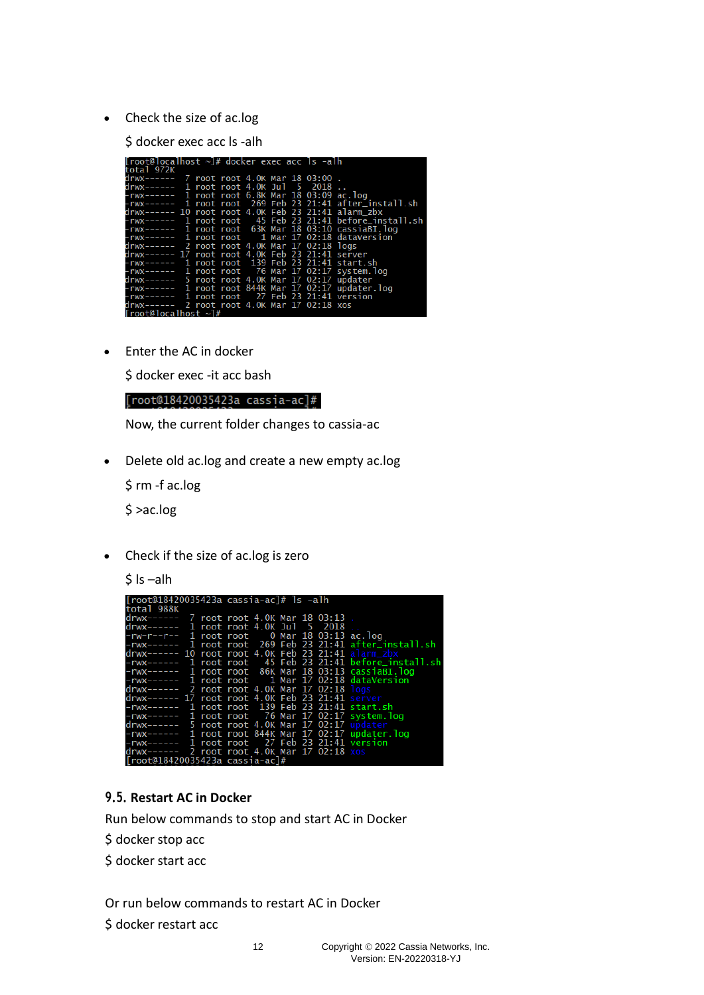• Check the size of ac.log

\$ docker exec acc ls -alh

| [root@localhost ~]# docker exec acc ls -alh         |  |  |  |                                                           |
|-----------------------------------------------------|--|--|--|-----------------------------------------------------------|
| total 972K                                          |  |  |  |                                                           |
|                                                     |  |  |  |                                                           |
| drwx------ 1 root root 4.0K Jul 5 2018              |  |  |  |                                                           |
| -rwx------ 1 root root 6.8K Mar 18 03:09 ac.log     |  |  |  |                                                           |
|                                                     |  |  |  |                                                           |
| drwx------ 10 root root 4.0K Feb 23 21:41 alarm_zbx |  |  |  |                                                           |
|                                                     |  |  |  |                                                           |
|                                                     |  |  |  | -rwx------ 1 root root 63K Mar 18 03:10 cassiaBI.log      |
|                                                     |  |  |  | $-{\rm rwx---}$ 1 root root $-1$ Mar 17 02:18 dataVersion |
| drwx------ 2 root root 4.0K Mar 17 02:18 logs       |  |  |  |                                                           |
| drwx------ 17 root root 4.0K Feb 23 21:41 server    |  |  |  |                                                           |
|                                                     |  |  |  |                                                           |
|                                                     |  |  |  |                                                           |
| drwx------ 5 root root 4.0K Mar 17 02:17 updater    |  |  |  |                                                           |
|                                                     |  |  |  | -rwx------ 1 root root 844K Mar 17 02:17 updater.log      |
| -rwx------ 1 root root 27 Feb 23 21:41 version      |  |  |  |                                                           |
| drwx------ 2 root root 4.0K Mar 17 02:18 xos        |  |  |  |                                                           |
| $[root@localhost \sim ]#$                           |  |  |  |                                                           |

• Enter the AC in docker

\$ docker exec -it acc bash

[root@18420035423a cassia-ac]#

Now, the current folder changes to cassia-ac

• Delete old ac.log and create a new empty ac.log

\$ rm -f ac.log

\$ >ac.log

• Check if the size of ac.log is zero

 $$$  ls  $-$ alh

| [root@18420035423a cassia-ac]# ls -alh                   |  |                                                          |
|----------------------------------------------------------|--|----------------------------------------------------------|
| total 988K                                               |  |                                                          |
| drwx------ 7 root root 4.0K Mar 18 03:13                 |  |                                                          |
| $drwx--- 1$ root root 4.0K Jul 5 2018                    |  |                                                          |
| $-rw-r--r--$ 1 root root 0 Mar 18 03:13 ac.log           |  |                                                          |
| -rwx------ 1 root root 269 Feb 23 21:41 after_install.sh |  |                                                          |
| $drwx--- 10$ root root 4.0K Feb 23 21:41 alarm_zbx       |  |                                                          |
|                                                          |  | $-rwx---2$ 1 root root 45 Feb 23 21:41 before install.sh |
| $-rwx---1$ root root 86K Mar 18 03:13 cassiaBI.log       |  |                                                          |
| $-{\rm rwx---}$ 1 root root 1 Mar 17 02:18 dataVersion   |  |                                                          |
| $drwx---2$ root root 4.0K Mar 17 02:18 logs              |  |                                                          |
| drwx------ 17 root root 4.0K Feb 23 21:41 server         |  |                                                          |
| -rwx------ 1 root root 139 Feb 23 21:41 start.sh         |  |                                                          |
| $-rwx--- 1$ root root 76 Mar 17 02:17 system.log         |  |                                                          |
| drwx------ 5 root root 4.0K Mar 17 02:17 updater         |  |                                                          |
| $-rwx---2$ 1 root root 844K Mar 17 02:17 update.         |  |                                                          |
| $-rwx--- 1$ root root 27 Feb 23 21:41 version            |  |                                                          |
| drwx------ 2 root root 4.0K Mar 17 02:18 xos             |  |                                                          |
| [root@18420035423a cassia-ac]#                           |  |                                                          |

#### <span id="page-11-0"></span>**9.5. Restart AC in Docker**

Run below commands to stop and start AC in Docker

\$ docker stop acc

\$ docker start acc

Or run below commands to restart AC in Docker

\$ docker restart acc